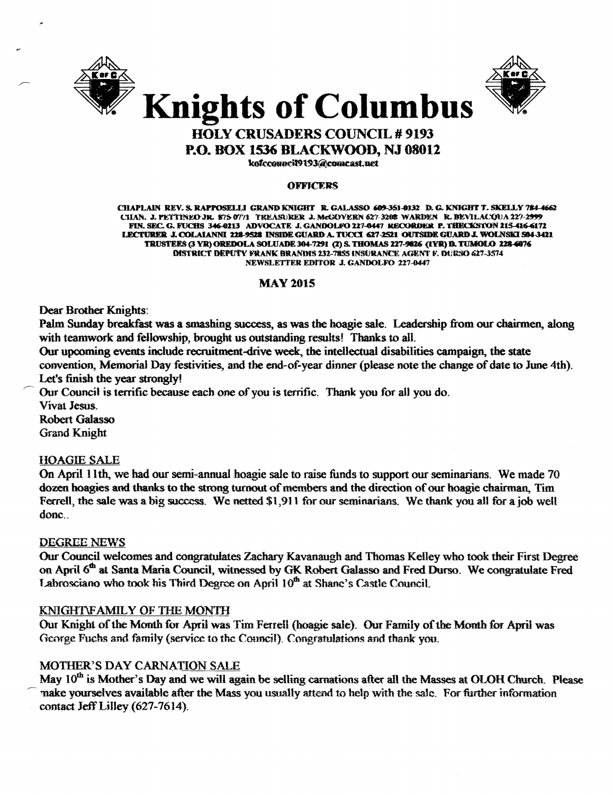



# **HOLY CRUSADERS COUNCIL # 9193 P.O. BOX 1536 BLACKWOOD, NJ 08012**

kofccouncil9193@comcast.net

#### **OFFICERS**

CHAPLAIN REV. S. RAPPOSELLI GRAND KNIGHT R. GALASSO 609-351-0132 D. G. KNIGHT T. SKELLY 784-4662 CHAN. J. PETTINEO JR. 875 0771 - TREASURER-J. MeGOVERN 627-3208-WARDEN--R. BEVILACQUA 227-2999 FIN. SEC. G. FUCHS 346-0213 ADVOCATE J. GANDOLFO 227-0447 RECORDER P. THECKSTON 215-416-6172 LECTURER J. COLAIANNI 228-9528 INSIDE GUARD A. TUCCI 627-2521 OUTSIDE GUARD J. WOLNSKI 504-3421 TRUSTEES (3 YR) OREDOLA SOLUADE 304-7291 (2) S. THOMAS 227-9026 (1YR) D. TUMOLO 228-6076 DISTRICT DEPUTY FRANK BRANDIS 232-7855 INSURANCE AGENT F. DURSO 627-3574 NEWSLETTER EDITOR J. GANDOLFO 227-0447

#### **MAY 2015**

Dear Brother Knights:

Palm Sunday breakfast was a smashing success, as was the hoagie sale. Leadership from our chairmen, along with teamwork and fellowship, brought us outstanding results! Thanks to all.

Our upcoming events include recruitment-drive week, the intellectual disabilities campaign, the state convention, Memorial Day festivities, and the end-of-year dinner (please note the change of date to June 4th). Let's finish the year strongly!

Our Council is terrific because each one of you is terrific. Thank you for all you do. Vivat Jesus.

**Robert Galasso Grand Knight** 

#### **HOAGIE SALE**

On April 11th, we had our semi-annual hoagie sale to raise funds to support our seminarians. We made 70 dozen hoagies and thanks to the strong turnout of members and the direction of our hoagie chairman. Tim Ferrell, the sale was a big success. We netted \$1,911 for our seminarians. We thank you all for a job well donc..

#### **DEGREE NEWS**

Our Council welcomes and congratulates Zachary Kavanaugh and Thomas Kelley who took their First Degree on April 6<sup>th</sup> at Santa Maria Council, witnessed by GK Robert Galasso and Fred Durso. We congratulate Fred Labrosciano who took his Third Degree on April 10<sup>th</sup> at Shane's Castle Council.

## KNIGHT\FAMILY OF THE MONTH

Our Knight of the Month for April was Tim Ferrell (hoagie sale). Our Family of the Month for April was George Fuchs and family (service to the Council). Congratulations and thank you.

## MOTHER'S DAY CARNATION SALE

May 10<sup>th</sup> is Mother's Day and we will again be selling carnations after all the Masses at OLOH Church. Please make yourselves available after the Mass you usually attend to help with the sale. For further information contact Jeff Lilley (627-7614).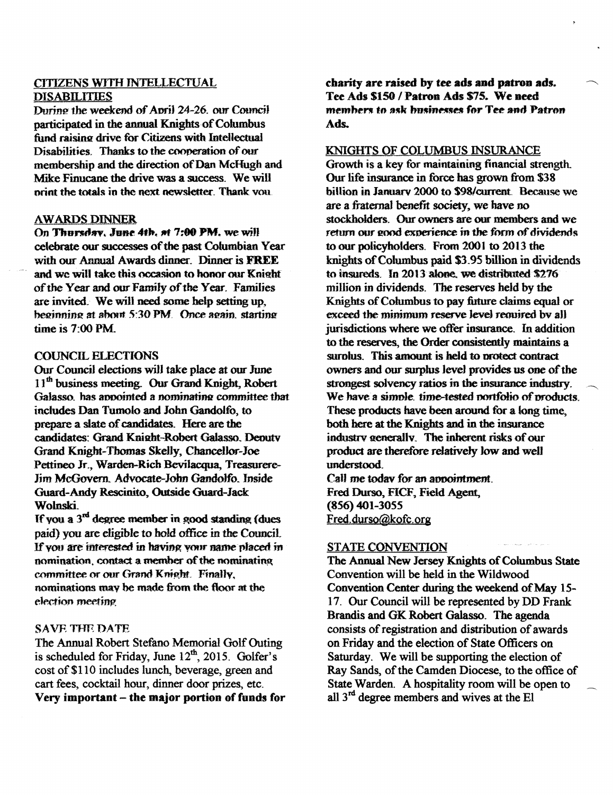## **CITIZENS WITH INTELLECTUAL DISABILITIES**

During the weekend of April 24-26, our Council participated in the annual Knights of Columbus fund raising drive for Citizens with Intellectual Disabilities. Thanks to the cooperation of our membership and the direction of Dan McHugh and Mike Finucane the drive was a success. We will print the totals in the next newsletter. Thank you

## **AWARDS DINNER**

On Thursday, June 4th, at 7:00 PM, we will celebrate our successes of the past Columbian Year with our Annual Awards dinner. Dinner is FREE and we will take this occasion to honor our Knight of the Year and our Family of the Year. Families are invited. We will need some help setting up. beginning at about 5:30 PM. Once again, starting time is  $7:00$  PM.

## **COUNCIL ELECTIONS**

Our Council elections will take place at our June 11<sup>th</sup> business meeting. Our Grand Knight, Robert Galasso, has appointed a nominating committee that includes Dan Tumolo and John Gandolfo, to prepare a slate of candidates. Here are the candidates: Grand Knight-Robert Galasso, Deputy Grand Knight-Thomas Skelly, Chancellor-Joe Pettineo Jr., Warden-Rich Bevilacqua, Treasurere-Jim McGovern. Advocate-John Gandolfo. Inside Guard-Andy Rescinito, Outside Guard-Jack **Wolnski** 

If you a  $3<sup>rd</sup>$  degree member in good standing (dues paid) you are eligible to hold office in the Council. If you are interested in having your name placed in nomination, contact a member of the nominating committee or our Grand Knight. Finally, nominations may be made from the floor at the election meeting

## **SAVE THE DATE**

The Annual Robert Stefano Memorial Golf Outing is scheduled for Friday, June 12<sup>th</sup>, 2015. Golfer's cost of \$110 includes lunch, beverage, green and cart fees, cocktail hour, dinner door prizes, etc. Very important – the major portion of funds for charity are raised by tee ads and patron ads. Tee Ads \$150 / Patron Ads \$75. We need members to ask businesses for Tee and Patron Ads.

## KNIGHTS OF COLUMBUS INSURANCE

Growth is a key for maintaining financial strength. Our life insurance in force has grown from \$38 billion in January 2000 to \$98/current Because we are a fraternal benefit society, we have no stockholders. Our owners are our members and we return our good experience in the form of dividends to our policyholders. From 2001 to 2013 the knights of Columbus paid \$3.95 billion in dividends to insureds. In 2013 alone, we distributed \$276 million in dividends. The reserves held by the Knights of Columbus to pay future claims equal or exceed the minimum reserve level required by all jurisdictions where we offer insurance. In addition to the reserves, the Order consistently maintains a surplus. This amount is held to protect contract owners and our surplus level provides us one of the strongest solvency ratios in the insurance industry. We have a simple, time-tested portfolio of products. These products have been around for a long time. both here at the Knights and in the insurance industry generally. The inherent risks of our product are therefore relatively low and well understood.

Call me today for an appointment. Fred Durso, FICF, Field Agent,  $(856)$  401-3055 Fred.durso@kofc.org

## **STATE CONVENTION**

The Annual New Jersey Knights of Columbus State Convention will be held in the Wildwood Convention Center during the weekend of May 15-17. Our Council will be represented by DD Frank Brandis and GK Robert Galasso. The agenda consists of registration and distribution of awards on Friday and the election of State Officers on Saturday. We will be supporting the election of Ray Sands, of the Camden Diocese, to the office of State Warden. A hospitality room will be open to all 3<sup>rd</sup> degree members and wives at the El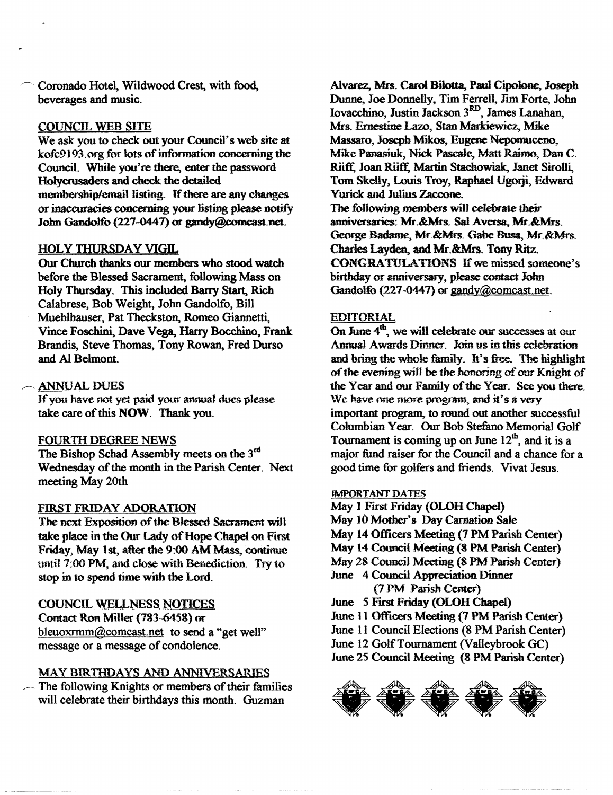Coronado Hotel, Wildwood Crest, with food, beverages and music.

#### COUNCIL WEB SITE

We ask you to check out your Council's web site at kofc9193 org for lots of information concerning the Council. While you're there, enter the password Holycrusaders and check the detailed membership/email listing. If there are any changes or inaccuracies concerning yoor listing please notify John Gandolfo (227-0447) or gandy@comcast.net.

#### HOLY THURSDAY VIGIL

Our Church thanks our members who stood watch before the Blessed Sacrament, following Mass on Holy Thursday. This included Barry Start, Rich Calabrese, Bob Weight, John Gandolfo, Bill Muehlhauser, Pat Theckston, Romeo Giannetti, Vince Foschini. Dave Vega, Harry Bocchino, Frank Brandis, Steve Thomas, Tony Rowan, Fred Durso and Al Belmont.

## ~. ANNUAL DUES

If you have not yet paid your annual dues please take care of this NOW. Thank you.

#### FOURTH DEGREE NEWS

The Bishop Schad Assembly meets on the 3<sup>rd</sup> Wednesday of the month in the Parish Center. Next meeting May 20th

## FIRST FRIDAY ADORATION

The next Exposition of the Blessed Sacrament will take place in the Our Lady of Hope Chapel on First Friday, May 1Sf., after the 9:00 AM Mass, continue until 7:00 PM, and close with Benediction. Try to stop in to spend time with the Lord.

COUNCIL WELLNESS NOTICES

Contact Ron Miller (783-6458) or bleuoxrmm@comcast.net to send a "get well" message or a message of condolence.

## MAY BIRTHDAYS AND ANNIVERSARIES

The following Knights or members of their families will celebrate their birthdays this month. Guzman

Alvarez, Mrs. Carol Bilotta, Paul Cipolooe, Joseph Dunne, Joe Donnelly, Tim Ferrell, Jim Forte, John Iovaccbino, Justin Jackson 3RD, James Lanahan, Mrs. Ernestine Lazo, Stan Markiewicz, Mike Massaro, Josepb Mikos, Eugene Nepomuceno, Mike Panasiuk, Nick Pascale, Matt Raimo, Dan C. Riiff, Joan Riiff, Martin Stachowiak, Janet Sirolli, Tom Skelly, Louis Troy, Raphael Ugorji, Edward Yurick and Julius Zaccone.

The following members will celebrate their anniversaries: Mr.&Mrs. Sal Aversa, Mr.&Mrs. George Badame, Mr. & Mrs. Gabe Busa, Mr. & Mrs. Charles Layden, and Mr.&Mrs. Tony Ritz. CONGRATULATIONS If we missed someone's birthday or anniversary, please contact John Gandolfo (227-0447) or  $\text{gandy}(\text{Q)connect}$ .net.

#### EDITORIAL

On June  $4<sup>th</sup>$ , we will celebrate our successes at our Annual Awards Dinner. Join us in this celebration and bring the whole family. It's free. The highlight of the evening will be the honoring of our Knight of the Year and our Family of the Year. See you there. We have one more program, and it's a very important program, to round out another successful Columbian Year. Our Bob Stefano Memorial Golf Tournament is coming up on June  $12<sup>th</sup>$ , and it is a major fund raiser for the Council and a chance for a good time for golfers and friends. Vivat Jesus.

#### JMPQRTANT DATES

- May I First Friday (OLOH Chapel)
- May 10 Mother's Day Carnation Sale
- May 14 Officers Meeting (7 PM Parish Center)
- May 14 Council Meeting (8 PM Parish Center)
- May 28 Council Meeting (8 PM Parish Center)
- June 4 Council Appreciation Dinner (7 PM Parish Center)
- June 5 First Friday (OLOH Chapel)
- June 11 Officers Meeting (7 PM Parish Center)
- June 11 Council Elections (8 PM Parish Center)
- June 12 GolfTournament (Valleybrook GC)
- June 25 Council Meeting (8 PM Parish Center)